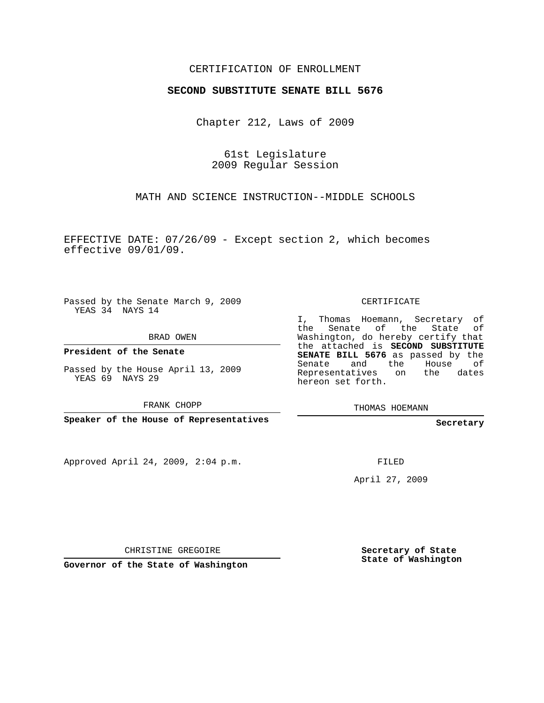## CERTIFICATION OF ENROLLMENT

## **SECOND SUBSTITUTE SENATE BILL 5676**

Chapter 212, Laws of 2009

61st Legislature 2009 Regular Session

MATH AND SCIENCE INSTRUCTION--MIDDLE SCHOOLS

EFFECTIVE DATE: 07/26/09 - Except section 2, which becomes effective 09/01/09.

Passed by the Senate March 9, 2009 YEAS 34 NAYS 14

BRAD OWEN

**President of the Senate**

Passed by the House April 13, 2009 YEAS 69 NAYS 29

FRANK CHOPP

**Speaker of the House of Representatives**

Approved April 24, 2009, 2:04 p.m.

CERTIFICATE

I, Thomas Hoemann, Secretary of the Senate of the State of Washington, do hereby certify that the attached is **SECOND SUBSTITUTE SENATE BILL 5676** as passed by the Senate and the House of Representatives on the dates hereon set forth.

THOMAS HOEMANN

**Secretary**

FILED

April 27, 2009

CHRISTINE GREGOIRE

**Governor of the State of Washington**

**Secretary of State State of Washington**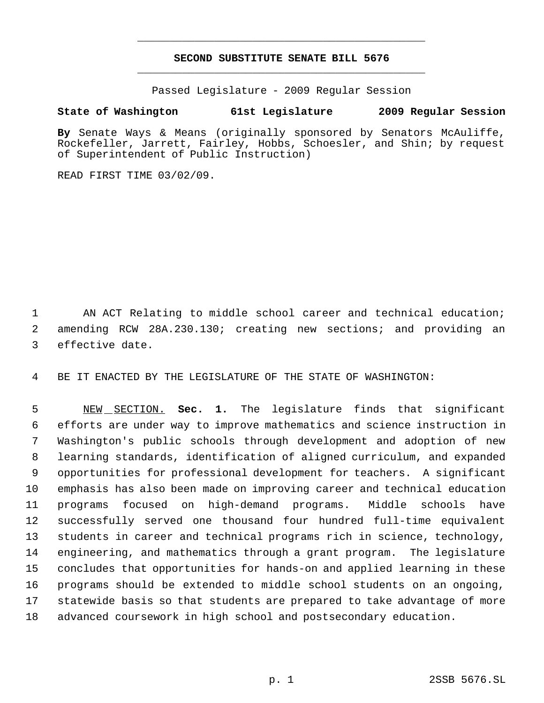## **SECOND SUBSTITUTE SENATE BILL 5676** \_\_\_\_\_\_\_\_\_\_\_\_\_\_\_\_\_\_\_\_\_\_\_\_\_\_\_\_\_\_\_\_\_\_\_\_\_\_\_\_\_\_\_\_\_

\_\_\_\_\_\_\_\_\_\_\_\_\_\_\_\_\_\_\_\_\_\_\_\_\_\_\_\_\_\_\_\_\_\_\_\_\_\_\_\_\_\_\_\_\_

Passed Legislature - 2009 Regular Session

## **State of Washington 61st Legislature 2009 Regular Session**

**By** Senate Ways & Means (originally sponsored by Senators McAuliffe, Rockefeller, Jarrett, Fairley, Hobbs, Schoesler, and Shin; by request of Superintendent of Public Instruction)

READ FIRST TIME 03/02/09.

 AN ACT Relating to middle school career and technical education; amending RCW 28A.230.130; creating new sections; and providing an effective date.

BE IT ENACTED BY THE LEGISLATURE OF THE STATE OF WASHINGTON:

 NEW SECTION. **Sec. 1.** The legislature finds that significant efforts are under way to improve mathematics and science instruction in Washington's public schools through development and adoption of new learning standards, identification of aligned curriculum, and expanded opportunities for professional development for teachers. A significant emphasis has also been made on improving career and technical education programs focused on high-demand programs. Middle schools have successfully served one thousand four hundred full-time equivalent students in career and technical programs rich in science, technology, engineering, and mathematics through a grant program. The legislature concludes that opportunities for hands-on and applied learning in these programs should be extended to middle school students on an ongoing, statewide basis so that students are prepared to take advantage of more advanced coursework in high school and postsecondary education.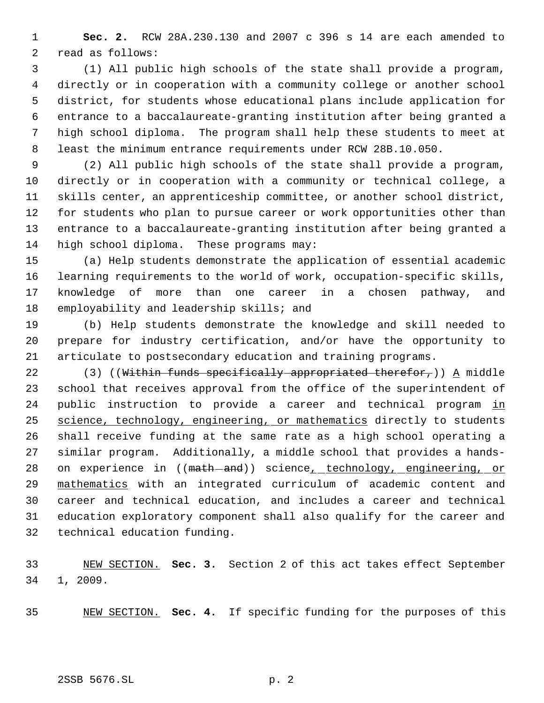**Sec. 2.** RCW 28A.230.130 and 2007 c 396 s 14 are each amended to read as follows:

 (1) All public high schools of the state shall provide a program, directly or in cooperation with a community college or another school district, for students whose educational plans include application for entrance to a baccalaureate-granting institution after being granted a high school diploma. The program shall help these students to meet at least the minimum entrance requirements under RCW 28B.10.050.

 (2) All public high schools of the state shall provide a program, directly or in cooperation with a community or technical college, a skills center, an apprenticeship committee, or another school district, for students who plan to pursue career or work opportunities other than entrance to a baccalaureate-granting institution after being granted a high school diploma. These programs may:

 (a) Help students demonstrate the application of essential academic learning requirements to the world of work, occupation-specific skills, knowledge of more than one career in a chosen pathway, and 18 employability and leadership skills; and

 (b) Help students demonstrate the knowledge and skill needed to prepare for industry certification, and/or have the opportunity to articulate to postsecondary education and training programs.

22 (3) ((Within funds specifically appropriated therefor,))  $\Delta$  middle school that receives approval from the office of the superintendent of 24 public instruction to provide a career and technical program in 25 science, technology, engineering, or mathematics directly to students shall receive funding at the same rate as a high school operating a similar program. Additionally, a middle school that provides a hands-28 on experience in ((math-and)) science<sub>r</sub>\_technology, engineering, or mathematics with an integrated curriculum of academic content and career and technical education, and includes a career and technical education exploratory component shall also qualify for the career and technical education funding.

 NEW SECTION. **Sec. 3.** Section 2 of this act takes effect September 1, 2009.

NEW SECTION. **Sec. 4.** If specific funding for the purposes of this